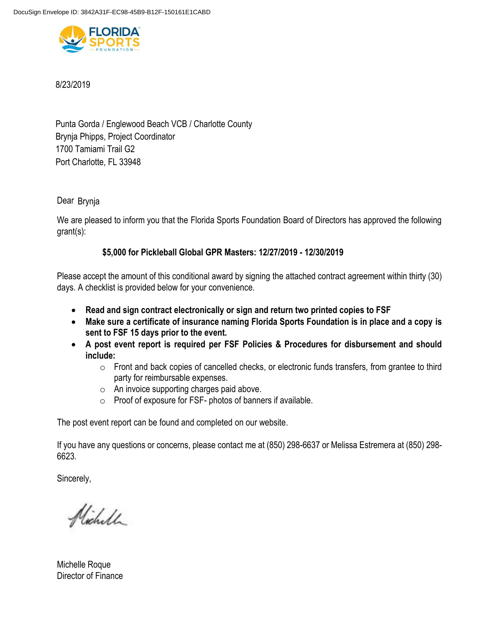

8/23/2019

Punta Gorda / Englewood Beach VCB / Charlotte County 1700 Tamiami Trail G2 Brynja Phipps, Project Coordinator Port Charlotte, FL 33948

Dear Brynja

We are pleased to inform you that the Florida Sports Foundation Board of Directors has approved the following grant(s):

# **\$5,000 for Pickleball Global GPR Masters: 12/27/2019 - 12/30/2019**

Please accept the amount of this conditional award by signing the attached contract agreement within thirty (30) days. A checklist is provided below for your convenience.

- **Read and sign contract electronically or sign and return two printed copies to FSF**
- **Make sure a certificate of insurance naming Florida Sports Foundation is in place and a copy is sent to FSF 15 days prior to the event.**
- **A post event report is required per FSF Policies & Procedures for disbursement and should include:** 
	- o Front and back copies of cancelled checks, or electronic funds transfers, from grantee to third party for reimbursable expenses.
	- o An invoice supporting charges paid above.
	- o Proof of exposure for FSF- photos of banners if available.

The post event report can be found and completed on our website.

If you have any questions or concerns, please contact me at (850) 298-6637 or Melissa Estremera at (850) 298- 6623.

Sincerely,

Nicholl

Michelle Roque Director of Finance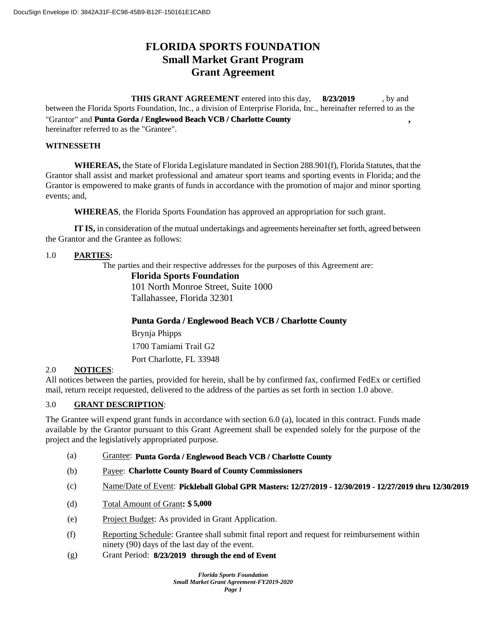# **FLORIDA SPORTS FOUNDATION Small Market Grant Program Grant Agreement**

**THIS GRANT AGREEMENT** entered into this day, 8/23/2019, by and between the Florida Sports Foundation, Inc., a division of Enterprise Florida, Inc., hereinafter referred to as the "Grantor" and **Punta Gorda / Englewood Beach VCB / Charlotte County**, **8/23/2019**

hereinafter referred to as the "Grantee".

### **WITNESSETH**

**WHEREAS,** the State of Florida Legislature mandated in Section 288.901(f), Florida Statutes, that the Grantor shall assist and market professional and amateur sport teams and sporting events in Florida; and the Grantor is empowered to make grants of funds in accordance with the promotion of major and minor sporting events; and,

**WHEREAS**, the Florida Sports Foundation has approved an appropriation for such grant.

**IT IS,** in consideration of the mutual undertakings and agreements hereinafter set forth, agreed between the Grantor and the Grantee as follows:

### 1.0 **PARTIES:**

The parties and their respective addresses for the purposes of this Agreement are:

### **Florida Sports Foundation**

101 North Monroe Street, Suite 1000 Tallahassee, Florida 32301

# **Punta Gorda / Englewood Beach VCB / Charlotte County**

1700 Tamiami Trail G2 Brynja Phipps Port Charlotte, FL 33948

# 2.0 **NOTICES**:

All notices between the parties, provided for herein, shall be by confirmed fax, confirmed FedEx or certified mail, return receipt requested, delivered to the address of the parties as set forth in section 1.0 above.

### 3.0 **GRANT DESCRIPTION**:

The Grantee will expend grant funds in accordance with section 6.0 (a), located in this contract. Funds made available by the Grantor pursuant to this Grant Agreement shall be expended solely for the purpose of the project and the legislatively appropriated purpose.

- (a) Grantee: **Punta Gorda / Englewood Beach VCB / Charlotte County**
- (b) Payee: **Charlotte County Board of County Commissioners**
- (c) Name/Date of Event: **Pickleball Global GPR Masters: 12/27/2019 12/30/2019 12/27/2019 thru 12/30/2019**
- (d) Total Amount of Grant**: \$ 5,000**
- (e) Project Budget: As provided in Grant Application.
- (f) Reporting Schedule: Grantee shall submit final report and request for reimbursement within ninety (90) days of the last day of the event.
- (g) Grant Period: **8/23/2019 through the end of Event**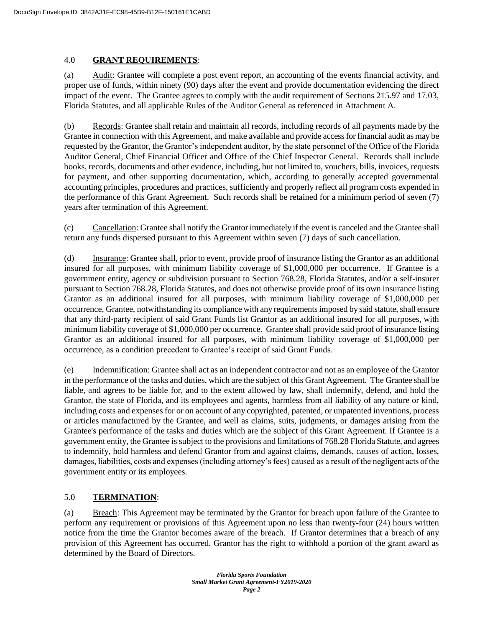### 4.0 **GRANT REQUIREMENTS**:

(a) Audit: Grantee will complete a post event report, an accounting of the events financial activity, and proper use of funds, within ninety (90) days after the event and provide documentation evidencing the direct impact of the event. The Grantee agrees to comply with the audit requirement of Sections 215.97 and 17.03, Florida Statutes, and all applicable Rules of the Auditor General as referenced in Attachment A.

(b) Records: Grantee shall retain and maintain all records, including records of all payments made by the Grantee in connection with this Agreement, and make available and provide access for financial audit as may be requested by the Grantor, the Grantor's independent auditor, by the state personnel of the Office of the Florida Auditor General, Chief Financial Officer and Office of the Chief Inspector General. Records shall include books, records, documents and other evidence, including, but not limited to, vouchers, bills, invoices, requests for payment, and other supporting documentation, which, according to generally accepted governmental accounting principles, procedures and practices, sufficiently and properly reflect all program costs expended in the performance of this Grant Agreement. Such records shall be retained for a minimum period of seven (7) years after termination of this Agreement.

(c) Cancellation: Grantee shall notify the Grantor immediately if the event is canceled and the Grantee shall return any funds dispersed pursuant to this Agreement within seven (7) days of such cancellation.

(d) Insurance: Grantee shall, prior to event, provide proof of insurance listing the Grantor as an additional insured for all purposes, with minimum liability coverage of \$1,000,000 per occurrence. If Grantee is a government entity, agency or subdivision pursuant to Section 768.28, Florida Statutes, and/or a self-insurer pursuant to Section 768.28, Florida Statutes, and does not otherwise provide proof of its own insurance listing Grantor as an additional insured for all purposes, with minimum liability coverage of \$1,000,000 per occurrence, Grantee, notwithstanding its compliance with any requirements imposed by said statute, shall ensure that any third-party recipient of said Grant Funds list Grantor as an additional insured for all purposes, with minimum liability coverage of \$1,000,000 per occurrence. Grantee shall provide said proof of insurance listing Grantor as an additional insured for all purposes, with minimum liability coverage of \$1,000,000 per occurrence, as a condition precedent to Grantee's receipt of said Grant Funds.

(e) Indemnification: Grantee shall act as an independent contractor and not as an employee of the Grantor in the performance of the tasks and duties, which are the subject of this Grant Agreement. The Grantee shall be liable, and agrees to be liable for, and to the extent allowed by law, shall indemnify, defend, and hold the Grantor, the state of Florida, and its employees and agents, harmless from all liability of any nature or kind, including costs and expenses for or on account of any copyrighted, patented, or unpatented inventions, process or articles manufactured by the Grantee, and well as claims, suits, judgments, or damages arising from the Grantee's performance of the tasks and duties which are the subject of this Grant Agreement. If Grantee is a government entity, the Grantee is subject to the provisions and limitations of 768.28 Florida Statute, and agrees to indemnify, hold harmless and defend Grantor from and against claims, demands, causes of action, losses, damages, liabilities, costs and expenses (including attorney's fees) caused as a result of the negligent acts of the government entity or its employees.

## 5.0 **TERMINATION**:

(a) Breach: This Agreement may be terminated by the Grantor for breach upon failure of the Grantee to perform any requirement or provisions of this Agreement upon no less than twenty-four (24) hours written notice from the time the Grantor becomes aware of the breach. If Grantor determines that a breach of any provision of this Agreement has occurred, Grantor has the right to withhold a portion of the grant award as determined by the Board of Directors.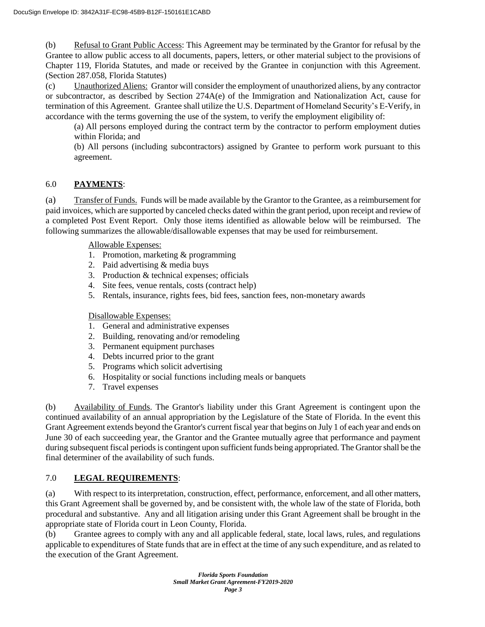(b) Refusal to Grant Public Access: This Agreement may be terminated by the Grantor for refusal by the Grantee to allow public access to all documents, papers, letters, or other material subject to the provisions of Chapter 119, Florida Statutes, and made or received by the Grantee in conjunction with this Agreement. (Section 287.058, Florida Statutes)

(c) Unauthorized Aliens: Grantor will consider the employment of unauthorized aliens, by any contractor or subcontractor, as described by Section 274A(e) of the Immigration and Nationalization Act, cause for termination of this Agreement. Grantee shall utilize the U.S. Department of Homeland Security's E-Verify, in accordance with the terms governing the use of the system, to verify the employment eligibility of:

(a) All persons employed during the contract term by the contractor to perform employment duties within Florida; and

(b) All persons (including subcontractors) assigned by Grantee to perform work pursuant to this agreement.

# 6.0 **PAYMENTS**:

(a) Transfer of Funds. Funds will be made available by the Grantor to the Grantee, as a reimbursement for paid invoices, which are supported by canceled checks dated within the grant period, upon receipt and review of a completed Post Event Report. Only those items identified as allowable below will be reimbursed. The following summarizes the allowable/disallowable expenses that may be used for reimbursement.

Allowable Expenses:

- 1. Promotion, marketing & programming
- 2. Paid advertising & media buys
- 3. Production & technical expenses; officials
- 4. Site fees, venue rentals, costs (contract help)
- 5. Rentals, insurance, rights fees, bid fees, sanction fees, non-monetary awards

Disallowable Expenses:

- 1. General and administrative expenses
- 2. Building, renovating and/or remodeling
- 3. Permanent equipment purchases
- 4. Debts incurred prior to the grant
- 5. Programs which solicit advertising
- 6. Hospitality or social functions including meals or banquets
- 7. Travel expenses

(b) Availability of Funds. The Grantor's liability under this Grant Agreement is contingent upon the continued availability of an annual appropriation by the Legislature of the State of Florida. In the event this Grant Agreement extends beyond the Grantor's current fiscal year that begins on July 1 of each year and ends on June 30 of each succeeding year, the Grantor and the Grantee mutually agree that performance and payment during subsequent fiscal periods is contingent upon sufficient funds being appropriated. The Grantor shall be the final determiner of the availability of such funds.

# 7.0 **LEGAL REQUIREMENTS**:

(a) With respect to its interpretation, construction, effect, performance, enforcement, and all other matters, this Grant Agreement shall be governed by, and be consistent with, the whole law of the state of Florida, both procedural and substantive. Any and all litigation arising under this Grant Agreement shall be brought in the appropriate state of Florida court in Leon County, Florida.

(b) Grantee agrees to comply with any and all applicable federal, state, local laws, rules, and regulations applicable to expenditures of State funds that are in effect at the time of any such expenditure, and as related to the execution of the Grant Agreement.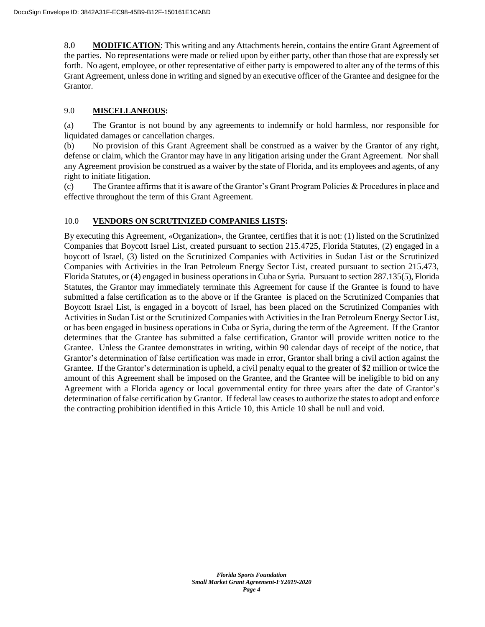8.0 **MODIFICATION**: This writing and any Attachments herein, contains the entire Grant Agreement of the parties. No representations were made or relied upon by either party, other than those that are expressly set forth. No agent, employee, or other representative of either party is empowered to alter any of the terms of this Grant Agreement, unless done in writing and signed by an executive officer of the Grantee and designee for the Grantor.

## 9.0 **MISCELLANEOUS:**

(a) The Grantor is not bound by any agreements to indemnify or hold harmless, nor responsible for liquidated damages or cancellation charges.

(b) No provision of this Grant Agreement shall be construed as a waiver by the Grantor of any right, defense or claim, which the Grantor may have in any litigation arising under the Grant Agreement. Nor shall any Agreement provision be construed as a waiver by the state of Florida, and its employees and agents, of any right to initiate litigation.

(c) The Grantee affirms that it is aware of the Grantor's Grant Program Policies & Procedures in place and effective throughout the term of this Grant Agreement.

### 10.0 **VENDORS ON SCRUTINIZED COMPANIES LISTS:**

By executing this Agreement, «Organization», the Grantee, certifies that it is not: (1) listed on the Scrutinized Companies that Boycott Israel List, created pursuant to section 215.4725, Florida Statutes, (2) engaged in a boycott of Israel, (3) listed on the Scrutinized Companies with Activities in Sudan List or the Scrutinized Companies with Activities in the Iran Petroleum Energy Sector List, created pursuant to section 215.473, Florida Statutes, or (4) engaged in business operations in Cuba or Syria. Pursuant to section 287.135(5), Florida Statutes, the Grantor may immediately terminate this Agreement for cause if the Grantee is found to have submitted a false certification as to the above or if the Grantee is placed on the Scrutinized Companies that Boycott Israel List, is engaged in a boycott of Israel, has been placed on the Scrutinized Companies with Activities in Sudan List or the Scrutinized Companies with Activities in the Iran Petroleum Energy Sector List, or has been engaged in business operations in Cuba or Syria, during the term of the Agreement. If the Grantor determines that the Grantee has submitted a false certification, Grantor will provide written notice to the Grantee. Unless the Grantee demonstrates in writing, within 90 calendar days of receipt of the notice, that Grantor's determination of false certification was made in error, Grantor shall bring a civil action against the Grantee. If the Grantor's determination is upheld, a civil penalty equal to the greater of \$2 million or twice the amount of this Agreement shall be imposed on the Grantee, and the Grantee will be ineligible to bid on any Agreement with a Florida agency or local governmental entity for three years after the date of Grantor's determination of false certification by Grantor. If federal law ceases to authorize the states to adopt and enforce the contracting prohibition identified in this Article 10, this Article 10 shall be null and void.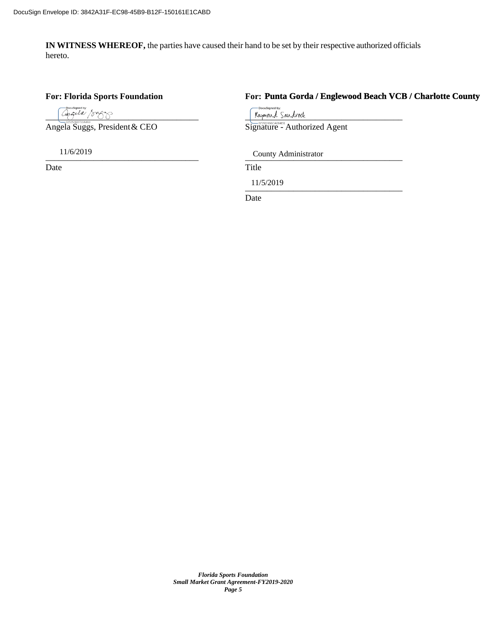**IN WITNESS WHEREOF,** the parties have caused their hand to be set by their respective authorized officials hereto.

### **For: Florida Sports Foundation For:**

Angela Suggs, President & CEO

Date Title

# **Punta Gorda / Englewood Beach VCB / Charlotte County**

u<br>Signed by  $\frac{C_{\phi, G\cup A} \cdot \frac{1}{\sqrt{C_{\phi, G\cup A}} \cdot \frac{1}{\sqrt{C_{\phi, G\cup A}} \cdot \frac{1}{\sqrt{C_{\phi, G\cup A}} \cdot \frac{1}{\sqrt{C_{\phi, G\cup A}} \cdot \frac{1}{\sqrt{C_{\phi, G\cup A}} \cdot \frac{1}{\sqrt{C_{\phi, G\cup A}} \cdot \frac{1}{\sqrt{C_{\phi, G\cup A}} \cdot \frac{1}{\sqrt{C_{\phi, G\cup A}} \cdot \frac{1}{\sqrt{C_{\phi, G\cup A}} \cdot \frac{1}{\sqrt{C_{\phi, G\cup A}} \cdot \frac{1}{$ 

\_\_\_\_\_\_\_\_\_\_\_\_\_\_\_\_\_\_\_\_\_\_\_\_\_\_\_\_\_\_\_\_\_\_\_ \_\_\_\_\_\_\_\_\_\_\_\_\_\_\_\_\_\_\_\_\_\_\_\_\_\_\_\_\_\_\_\_\_\_\_\_ 11/6/2019 County Administrator

 $11/3/2019$ 11/5/2019

Date